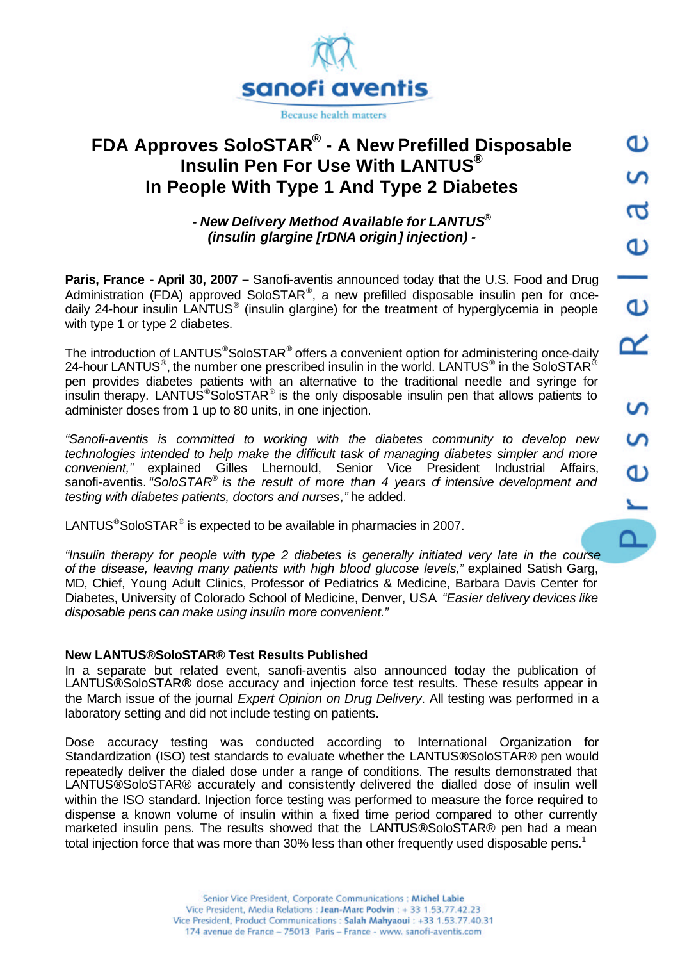

# **FDA Approves SoloSTAR® - A New Prefilled Disposable Insulin Pen For Use With LANTUS® In People With Type 1 And Type 2 Diabetes**

# *- New Delivery Method Available for LANTUS® (insulin glargine [rDNA origin] injection) -*

**Paris, France - April 30, 2007 –** Sanofi-aventis announced today that the U.S. Food and Drug Administration (FDA) approved SoloSTAR®, a new prefilled disposable insulin pen for oncedaily 24-hour insulin LANTUS<sup>®</sup> (insulin glargine) for the treatment of hyperglycemia in people with type 1 or type 2 diabetes.

The introduction of LANTUS<sup>®</sup>SoloSTAR<sup>®</sup> offers a convenient option for administering once-daily 24-hour LANTUS®, the number one prescribed insulin in the world. LANTUS® in the SoloSTAR® pen provides diabetes patients with an alternative to the traditional needle and syringe for insulin therapy. LANTUS<sup>®</sup>SoloSTAR<sup>®</sup> is the only disposable insulin pen that allows patients to administer doses from 1 up to 80 units, in one injection.

*"Sanofi-aventis is committed to working with the diabetes community to develop new* technologies intended to help make the difficult task of managing diabetes simpler and more *convenient,"* explained Gilles Lhernould, Senior Vice President Industrial Affairs, sanofi-aventis. *"SoloSTAR*® *is the result of more than 4 years of intensive development and testing with diabetes patients, doctors and nurses,"* he added.

LANTUS<sup>®</sup>SoloSTAR<sup>®</sup> is expected to be available in pharmacies in 2007.

*"Insulin therapy for people with type 2 diabetes is generally initiated very late in the course of the disease, leaving many patients with high blood glucose levels,"* explained Satish Garg, MD, Chief, Young Adult Clinics, Professor of Pediatrics & Medicine, Barbara Davis Center for Diabetes, University of Colorado School of Medicine, Denver, USA*. "Easier delivery devices like disposable pens can make using insulin more convenient."* 

## **New LANTUS®SoloSTAR® Test Results Published**

In a separate but related event, sanofi-aventis also announced today the publication of LANTUS**®**SoloSTAR**®** dose accuracy and injection force test results. These results appear in the March issue of the journal *Expert Opinion on Drug Delivery*. All testing was performed in a laboratory setting and did not include testing on patients.

Dose accuracy testing was conducted according to International Organization for Standardization (ISO) test standards to evaluate whether the LANTUS**®**SoloSTAR® pen would repeatedly deliver the dialed dose under a range of conditions. The results demonstrated that LANTUS**®**SoloSTAR® accurately and consistently delivered the dialled dose of insulin well within the ISO standard. Injection force testing was performed to measure the force required to dispense a known volume of insulin within a fixed time period compared to other currently marketed insulin pens. The results showed that the LANTUS**®**SoloSTAR® pen had a mean total injection force that was more than 30% less than other frequently used disposable pens.<sup>1</sup>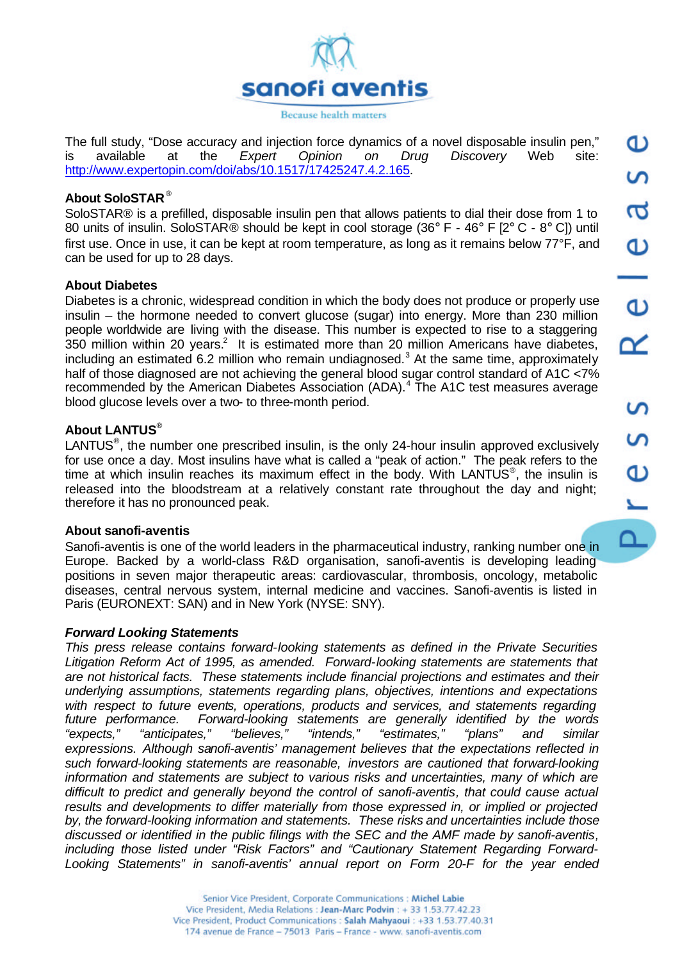

The full study, "Dose accuracy and injection force dynamics of a novel disposable insulin pen," is available at the *Expert Opinion on Drug Discovery* Web site: http://www.expertopin.com/doi/abs/10.1517/17425247.4.2.165.

## **About SoloSTAR** ®

SoloSTAR® is a prefilled, disposable insulin pen that allows patients to dial their dose from 1 to 80 units of insulin. SoloSTAR® should be kept in cool storage (36° F - 46° F [2° C - 8° C]) until first use. Once in use, it can be kept at room temperature, as long as it remains below 77°F, and can be used for up to 28 days.

### **About Diabetes**

Diabetes is a chronic, widespread condition in which the body does not produce or properly use insulin – the hormone needed to convert glucose (sugar) into energy. More than 230 million people worldwide are living with the disease. This number is expected to rise to a staggering  $350$  million within 20 years.<sup>2</sup> It is estimated more than 20 million Americans have diabetes, including an estimated 6.2 million who remain undiagnosed.<sup>3</sup> At the same time, approximately half of those diagnosed are not achieving the general blood sugar control standard of A1C <7% recommended by the American Diabetes Association (ADA).<sup>4</sup> The A1C test measures average blood glucose levels over a two- to three-month period.

### **About LANTUS**®

LANTUS<sup>®</sup>, the number one prescribed insulin, is the only 24-hour insulin approved exclusively for use once a day. Most insulins have what is called a "peak of action." The peak refers to the time at which insulin reaches its maximum effect in the body. With LANTUS<sup>®</sup>, the insulin is released into the bloodstream at a relatively constant rate throughout the day and night; therefore it has no pronounced peak.

#### **About sanofi-aventis**

Sanofi-aventis is one of the world leaders in the pharmaceutical industry, ranking number one in Europe. Backed by a world-class R&D organisation, sanofi-aventis is developing leading positions in seven major therapeutic areas: cardiovascular, thrombosis, oncology, metabolic diseases, central nervous system, internal medicine and vaccines. Sanofi-aventis is listed in Paris (EURONEXT: SAN) and in New York (NYSE: SNY).

#### *Forward Looking Statements*

*This press release contains forward-looking statements as defined in the Private Securities Litigation Reform Act of 1995, as amended. Forward-looking statements are statements that are not historical facts. These statements include financial projections and estimates and their underlying assumptions, statements regarding plans, objectives, intentions and expectations with respect to future events, operations, products and services, and statements regarding future performance. Forward-looking statements are generally identified by the words "expects," "anticipates," "believes," "intends," "estimates," "plans" and similar expressions. Although sanofi-aventis' management believes that the expectations reflected in such forward-looking statements are reasonable, investors are cautioned that forward-looking information and statements are subject to various risks and uncertainties, many of which are difficult to predict and generally beyond the control of sanofi-aventis, that could cause actual results and developments to differ materially from those expressed in, or implied or projected by, the forward-looking information and statements. These risks and uncertainties include those discussed or identified in the public filings with the SEC and the AMF made by sanofi-aventis, including those listed under "Risk Factors" and "Cautionary Statement Regarding Forward-Looking Statements" in sanofi-aventis' annual report on Form 20-F for the year ended*